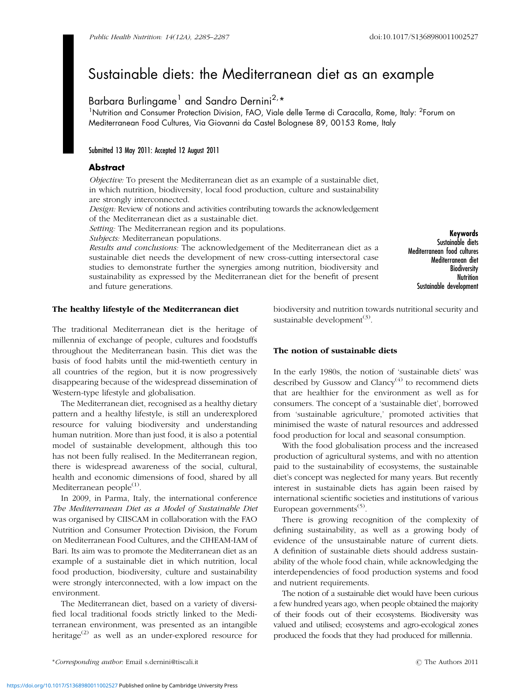# Sustainable diets: the Mediterranean diet as an example

# Barbara Burlingame<sup>1</sup> and Sandro Dernini<sup>2,\*</sup>

<sup>1</sup>Nutrition and Consumer Protection Division, FAO, Viale delle Terme di Caracalla, Rome, Italy: <sup>2</sup>Forum on Mediterranean Food Cultures, Via Giovanni da Castel Bolognese 89, 00153 Rome, Italy

#### Submitted 13 May 2011: Accepted 12 August 2011

### **Abstract**

Objective: To present the Mediterranean diet as an example of a sustainable diet, in which nutrition, biodiversity, local food production, culture and sustainability are strongly interconnected.

Design: Review of notions and activities contributing towards the acknowledgement of the Mediterranean diet as a sustainable diet.

Setting: The Mediterranean region and its populations.

Subjects: Mediterranean populations.

Results and conclusions: The acknowledgement of the Mediterranean diet as a sustainable diet needs the development of new cross-cutting intersectoral case studies to demonstrate further the synergies among nutrition, biodiversity and sustainability as expressed by the Mediterranean diet for the benefit of present and future generations.

Keywords Sustainable diets Mediterranean food cultures Mediterranean diet **Biodiversity Nutrition** Sustainable development

#### The healthy lifestyle of the Mediterranean diet

The traditional Mediterranean diet is the heritage of millennia of exchange of people, cultures and foodstuffs throughout the Mediterranean basin. This diet was the basis of food habits until the mid-twentieth century in all countries of the region, but it is now progressively disappearing because of the widespread dissemination of Western-type lifestyle and globalisation.

The Mediterranean diet, recognised as a healthy dietary pattern and a healthy lifestyle, is still an underexplored resource for valuing biodiversity and understanding human nutrition. More than just food, it is also a potential model of sustainable development, although this too has not been fully realised. In the Mediterranean region, there is widespread awareness of the social, cultural, health and economic dimensions of food, shared by all Mediterranean people $<sup>(1)</sup>$ .</sup>

In 2009, in Parma, Italy, the international conference The Mediterranean Diet as a Model of Sustainable Diet was organised by CIISCAM in collaboration with the FAO Nutrition and Consumer Protection Division, the Forum on Mediterranean Food Cultures, and the CIHEAM-IAM of Bari. Its aim was to promote the Mediterranean diet as an example of a sustainable diet in which nutrition, local food production, biodiversity, culture and sustainability were strongly interconnected, with a low impact on the environment.

The Mediterranean diet, based on a variety of diversified local traditional foods strictly linked to the Mediterranean environment, was presented as an intangible heritage $^{(2)}$  as well as an under-explored resource for biodiversity and nutrition towards nutritional security and sustainable development $(3)$ .

### The notion of sustainable diets

In the early 1980s, the notion of 'sustainable diets' was described by Gussow and Clancy<sup>(4)</sup> to recommend diets that are healthier for the environment as well as for consumers. The concept of a 'sustainable diet', borrowed from 'sustainable agriculture,' promoted activities that minimised the waste of natural resources and addressed food production for local and seasonal consumption.

With the food globalisation process and the increased production of agricultural systems, and with no attention paid to the sustainability of ecosystems, the sustainable diet's concept was neglected for many years. But recently interest in sustainable diets has again been raised by international scientific societies and institutions of various European governments $(5)$ .

There is growing recognition of the complexity of defining sustainability, as well as a growing body of evidence of the unsustainable nature of current diets. A definition of sustainable diets should address sustainability of the whole food chain, while acknowledging the interdependencies of food production systems and food and nutrient requirements.

The notion of a sustainable diet would have been curious a few hundred years ago, when people obtained the majority of their foods out of their ecosystems. Biodiversity was valued and utilised; ecosystems and agro-ecological zones produced the foods that they had produced for millennia.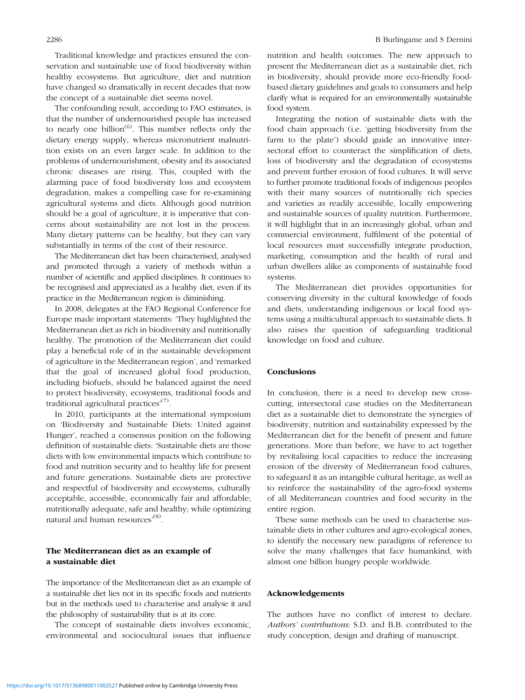Traditional knowledge and practices ensured the conservation and sustainable use of food biodiversity within healthy ecosystems. But agriculture, diet and nutrition have changed so dramatically in recent decades that now the concept of a sustainable diet seems novel.

The confounding result, according to FAO estimates, is that the number of undernourished people has increased to nearly one billion<sup> $(6)$ </sup>. This number reflects only the dietary energy supply, whereas micronutrient malnutrition exists on an even larger scale. In addition to the problems of undernourishment, obesity and its associated chronic diseases are rising. This, coupled with the alarming pace of food biodiversity loss and ecosystem degradation, makes a compelling case for re-examining agricultural systems and diets. Although good nutrition should be a goal of agriculture, it is imperative that concerns about sustainability are not lost in the process. Many dietary patterns can be healthy, but they can vary substantially in terms of the cost of their resource.

The Mediterranean diet has been characterised, analysed and promoted through a variety of methods within a number of scientific and applied disciplines. It continues to be recognised and appreciated as a healthy diet, even if its practice in the Mediterranean region is diminishing.

In 2008, delegates at the FAO Regional Conference for Europe made important statements: 'They highlighted the Mediterranean diet as rich in biodiversity and nutritionally healthy. The promotion of the Mediterranean diet could play a beneficial role of in the sustainable development of agriculture in the Mediterranean region', and 'remarked that the goal of increased global food production, including biofuels, should be balanced against the need to protect biodiversity, ecosystems, traditional foods and traditional agricultural practices'(7).

In 2010, participants at the international symposium on 'Biodiversity and Sustainable Diets: United against Hunger', reached a consensus position on the following definition of sustainable diets: 'Sustainable diets are those diets with low environmental impacts which contribute to food and nutrition security and to healthy life for present and future generations. Sustainable diets are protective and respectful of biodiversity and ecosystems, culturally acceptable, accessible, economically fair and affordable; nutritionally adequate, safe and healthy; while optimizing natural and human resources<sup>,(8)</sup>.

## The Mediterranean diet as an example of a sustainable diet

The importance of the Mediterranean diet as an example of a sustainable diet lies not in its specific foods and nutrients but in the methods used to characterise and analyse it and the philosophy of sustainability that is at its core.

The concept of sustainable diets involves economic, environmental and sociocultural issues that influence

nutrition and health outcomes. The new approach to present the Mediterranean diet as a sustainable diet, rich in biodiversity, should provide more eco-friendly foodbased dietary guidelines and goals to consumers and help clarify what is required for an environmentally sustainable food system.

Integrating the notion of sustainable diets with the food chain approach (i.e. 'getting biodiversity from the farm to the plate') should guide an innovative intersectoral effort to counteract the simplification of diets, loss of biodiversity and the degradation of ecosystems and prevent further erosion of food cultures. It will serve to further promote traditional foods of indigenous peoples with their many sources of nutritionally rich species and varieties as readily accessible, locally empowering and sustainable sources of quality nutrition. Furthermore, it will highlight that in an increasingly global, urban and commercial environment, fulfilment of the potential of local resources must successfully integrate production, marketing, consumption and the health of rural and urban dwellers alike as components of sustainable food systems.

The Mediterranean diet provides opportunities for conserving diversity in the cultural knowledge of foods and diets, understanding indigenous or local food systems using a multicultural approach to sustainable diets. It also raises the question of safeguarding traditional knowledge on food and culture.

#### Conclusions

In conclusion, there is a need to develop new crosscutting, intersectoral case studies on the Mediterranean diet as a sustainable diet to demonstrate the synergies of biodiversity, nutrition and sustainability expressed by the Mediterranean diet for the benefit of present and future generations. More than before, we have to act together by revitalising local capacities to reduce the increasing erosion of the diversity of Mediterranean food cultures, to safeguard it as an intangible cultural heritage, as well as to reinforce the sustainability of the agro-food systems of all Mediterranean countries and food security in the entire region.

These same methods can be used to characterise sustainable diets in other cultures and agro-ecological zones, to identify the necessary new paradigms of reference to solve the many challenges that face humankind, with almost one billion hungry people worldwide.

#### Acknowledgements

The authors have no conflict of interest to declare. Authors' contributions: S.D. and B.B. contributed to the study conception, design and drafting of manuscript.